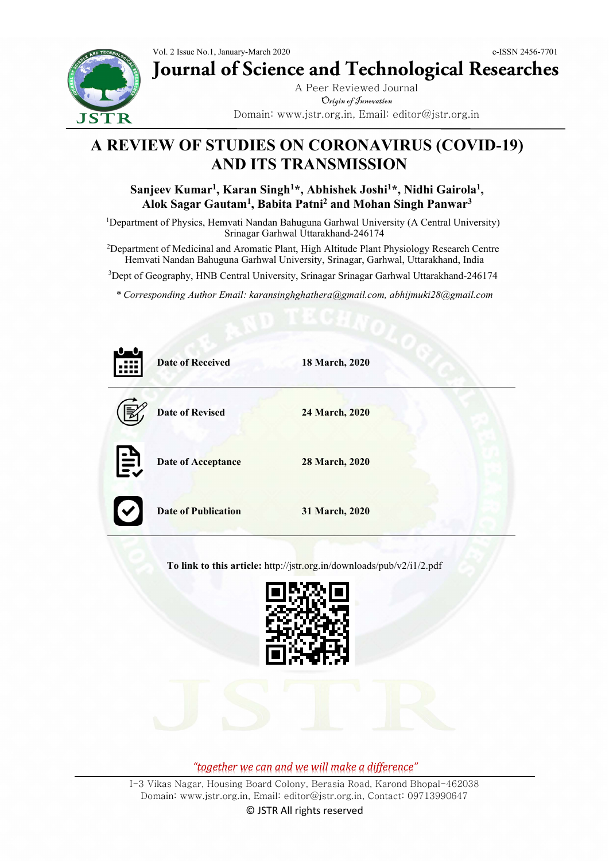

# **Journal of Science and Technological Researches**

A Peer Reviewed Journal Origin of Innovation Domain: www.jstr.org.in, Email: editor@jstr.org.in

## **A REVIEW OF STUDIES ON CORONAVIRUS (COVID-19) AND ITS TRANSMISSION**

### **Sanjeev Kumar<sup>1</sup> , Karan Singh<sup>1</sup>\*, Abhishek Joshi<sup>1</sup>\*, Nidhi Gairola<sup>1</sup> , Alok Sagar Gautam<sup>1</sup> , Babita Patni<sup>2</sup> and Mohan Singh Panwar<sup>3</sup>**

<sup>1</sup>Department of Physics, Hemvati Nandan Bahuguna Garhwal University (A Central University) Srinagar Garhwal Uttarakhand-246174

<sup>2</sup>Department of Medicinal and Aromatic Plant, High Altitude Plant Physiology Research Centre Hemvati Nandan Bahuguna Garhwal University, Srinagar, Garhwal, Uttarakhand, India

<sup>3</sup>Dept of Geography, HNB Central University, Srinagar Srinagar Garhwal Uttarakhand-246174

*\* Corresponding Author Email: karansinghghathera@gmail.com, abhijmuki28@gmail.com*



**To link to this article:** http://jstr.org.in/downloads/pub/v2/i1/2.pdf



*"together we can and we will make a difference"*

I-3 Vikas Nagar, Housing Board Colony, Berasia Road, Karond Bhopal-462038 Domain: www.jstr.org.in, Email: editor@jstr.org.in, Contact: 09713990647

© JSTR All rights reserved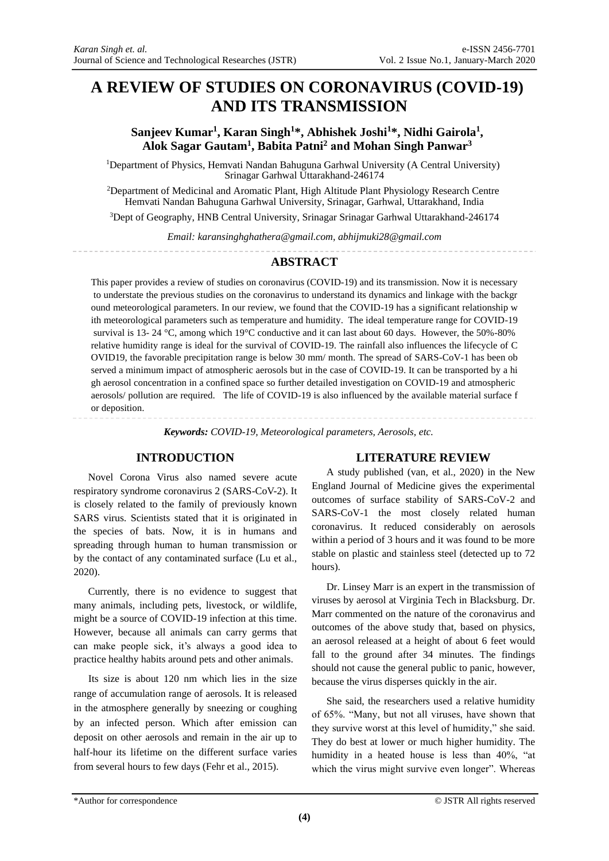## **A REVIEW OF STUDIES ON CORONAVIRUS (COVID-19) AND ITS TRANSMISSION**

**Sanjeev Kumar<sup>1</sup> , Karan Singh<sup>1</sup>\*, Abhishek Joshi<sup>1</sup>\*, Nidhi Gairola<sup>1</sup> , Alok Sagar Gautam<sup>1</sup> , Babita Patni<sup>2</sup> and Mohan Singh Panwar<sup>3</sup>**

<sup>1</sup>Department of Physics, Hemvati Nandan Bahuguna Garhwal University (A Central University) Srinagar Garhwal Uttarakhand-246174

<sup>2</sup>Department of Medicinal and Aromatic Plant, High Altitude Plant Physiology Research Centre Hemvati Nandan Bahuguna Garhwal University, Srinagar, Garhwal, Uttarakhand, India

<sup>3</sup>Dept of Geography, HNB Central University, Srinagar Srinagar Garhwal Uttarakhand-246174

*Email: karansinghghathera@gmail.com, abhijmuki28@gmail.com*

#### **ABSTRACT**

This paper provides a review of studies on coronavirus (COVID-19) and its transmission. Now it is necessary to understate the previous studies on the coronavirus to understand its dynamics and linkage with the backgr ound meteorological parameters. In our review, we found that the COVID-19 has a significant relationship w ith meteorological parameters such as temperature and humidity. The ideal temperature range for COVID-19 survival is 13- 24 °C, among which 19°C conductive and it can last about 60 days. However, the 50%-80% relative humidity range is ideal for the survival of COVID-19. The rainfall also influences the lifecycle of C OVID19, the favorable precipitation range is below 30 mm/ month. The spread of SARS-CoV-1 has been ob served a minimum impact of atmospheric aerosols but in the case of COVID-19. It can be transported by a hi gh aerosol concentration in a confined space so further detailed investigation on COVID-19 and atmospheric aerosols/ pollution are required. The life of COVID-19 is also influenced by the available material surface f or deposition.

*Keywords: COVID-19, Meteorological parameters, Aerosols, etc.*

#### **INTRODUCTION**

Novel Corona Virus also named severe acute respiratory syndrome coronavirus 2 (SARS-CoV-2). It is closely related to the family of previously known SARS virus. Scientists stated that it is originated in the species of bats. Now, it is in humans and spreading through human to human transmission or by the contact of any contaminated surface (Lu et al., 2020).

Currently, there is no evidence to suggest that many animals, including pets, livestock, or wildlife, might be a source of COVID-19 infection at this time. However, because all animals can carry germs that can make people sick, it's always a good idea to practice healthy habits around pets and other animals.

Its size is about 120 nm which lies in the size range of accumulation range of aerosols. It is released in the atmosphere generally by sneezing or coughing by an infected person. Which after emission can deposit on other aerosols and remain in the air up to half-hour its lifetime on the different surface varies from several hours to few days (Fehr et al., 2015).

#### **LITERATURE REVIEW**

A study published (van, et al., 2020) in the New England Journal of Medicine gives the experimental outcomes of surface stability of SARS-CoV-2 and SARS-CoV-1 the most closely related human coronavirus. It reduced considerably on aerosols within a period of 3 hours and it was found to be more stable on plastic and stainless steel (detected up to 72 hours).

Dr. Linsey Marr is an expert in the transmission of viruses by aerosol at Virginia Tech in Blacksburg. Dr. Marr commented on the nature of the coronavirus and outcomes of the above study that, based on physics, an aerosol released at a height of about 6 feet would fall to the ground after 34 minutes. The findings should not cause the general public to panic, however, because the virus disperses quickly in the air.

She said, the researchers used a relative humidity of 65%. "Many, but not all viruses, have shown that they survive worst at this level of humidity," she said. They do best at lower or much higher humidity. The humidity in a heated house is less than 40%, "at which the virus might survive even longer". Whereas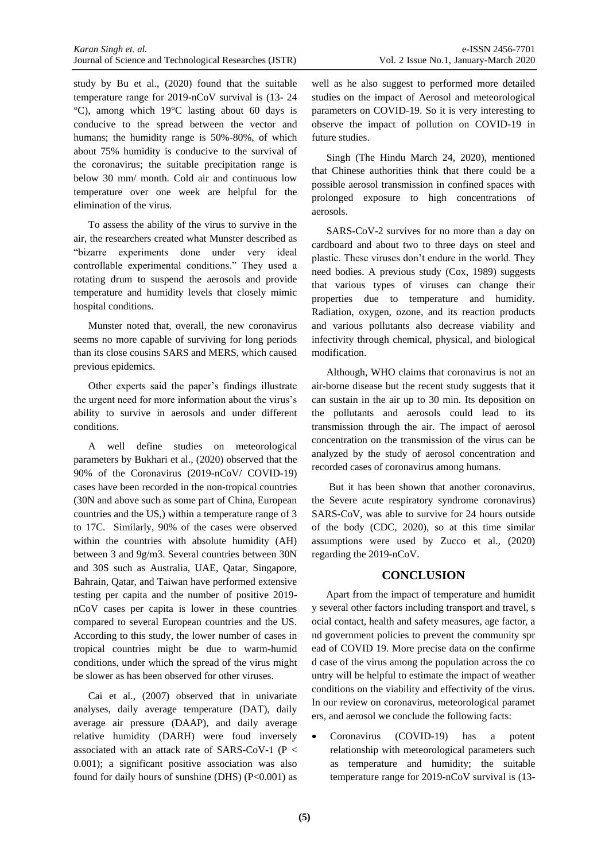Ī study by Bu et al., (2020) found that the suitable temperature range for 2019-nCoV survival is (13- 24 °C), among which 19°C lasting about 60 days is conducive to the spread between the vector and humans; the humidity range is 50%-80%, of which about 75% humidity is conducive to the survival of the coronavirus; the suitable precipitation range is below 30 mm/ month. Cold air and continuous low temperature over one week are helpful for the elimination of the virus.

To assess the ability of the virus to survive in the air, the researchers created what Munster described as "bizarre experiments done under very ideal controllable experimental conditions." They used a rotating drum to suspend the aerosols and provide temperature and humidity levels that closely mimic hospital conditions.

Munster noted that, overall, the new coronavirus seems no more capable of surviving for long periods than its close cousins SARS and MERS, which caused previous epidemics.

Other experts said the paper's findings illustrate the urgent need for more information about the virus's ability to survive in aerosols and under different conditions.

A well define studies on meteorological parameters by Bukhari et al., (2020) observed that the 90% of the Coronavirus (2019-nCoV/ COVID-19) cases have been recorded in the non-tropical countries (30N and above such as some part of China, European countries and the US,) within a temperature range of 3 to 17C. Similarly, 90% of the cases were observed within the countries with absolute humidity (AH) between 3 and 9g/m3. Several countries between 30N and 30S such as Australia, UAE, Qatar, Singapore, Bahrain, Qatar, and Taiwan have performed extensive testing per capita and the number of positive 2019 nCoV cases per capita is lower in these countries compared to several European countries and the US. According to this study, the lower number of cases in tropical countries might be due to warm-humid conditions, under which the spread of the virus might be slower as has been observed for other viruses.

Cai et al., (2007) observed that in univariate analyses, daily average temperature (DAT), daily average air pressure (DAAP), and daily average relative humidity (DARH) were foud inversely associated with an attack rate of SARS-CoV-1 (P < 0.001); a significant positive association was also found for daily hours of sunshine (DHS)  $(P<0.001)$  as

well as he also suggest to performed more detailed studies on the impact of Aerosol and meteorological parameters on COVID-19. So it is very interesting to observe the impact of pollution on COVID-19 in future studies.

Singh (The Hindu March 24, 2020), mentioned that Chinese authorities think that there could be a possible aerosol transmission in confined spaces with prolonged exposure to high concentrations of aerosols.

SARS-CoV-2 survives for no more than a day on cardboard and about two to three days on steel and plastic. These viruses don't endure in the world. They need bodies. A previous study (Cox, 1989) suggests that various types of viruses can change their properties due to temperature and humidity. Radiation, oxygen, ozone, and its reaction products and various pollutants also decrease viability and infectivity through chemical, physical, and biological modification.

Although, WHO claims that coronavirus is not an air-borne disease but the recent study suggests that it can sustain in the air up to 30 min. Its deposition on the pollutants and aerosols could lead to its transmission through the air. The impact of aerosol concentration on the transmission of the virus can be analyzed by the study of aerosol concentration and recorded cases of coronavirus among humans.

But it has been shown that another coronavirus, the Severe acute respiratory syndrome coronavirus) SARS-CoV, was able to survive for 24 hours outside of the body (CDC, 2020), so at this time similar assumptions were used by Zucco et al., (2020) regarding the 2019-nCoV.

#### **CONCLUSION**

Apart from the impact of temperature and humidit y several other factors including transport and travel, s ocial contact, health and safety measures, age factor, a nd government policies to prevent the community spr ead of COVID 19. More precise data on the confirme d case of the virus among the population across the co untry will be helpful to estimate the impact of weather conditions on the viability and effectivity of the virus. In our review on coronavirus, meteorological paramet ers, and aerosol we conclude the following facts:

 Coronavirus (COVID-19) has a potent relationship with meteorological parameters such as temperature and humidity; the suitable temperature range for 2019-nCoV survival is (13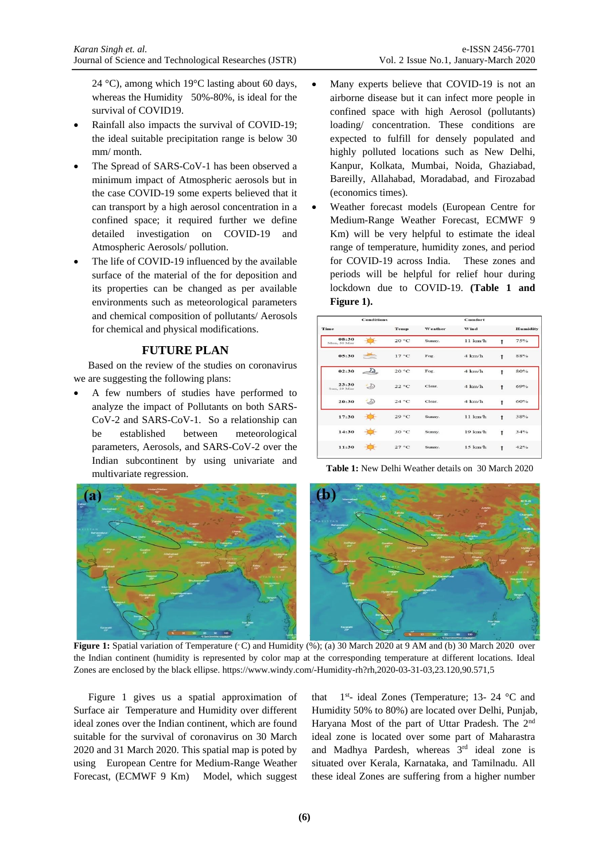Ī

24 °C), among which 19°C lasting about 60 days, whereas the Humidity 50%-80%, is ideal for the survival of COVID19.

- Rainfall also impacts the survival of COVID-19; the ideal suitable precipitation range is below 30 mm/ month.
- The Spread of SARS-CoV-1 has been observed a minimum impact of Atmospheric aerosols but in the case COVID-19 some experts believed that it can transport by a high aerosol concentration in a confined space; it required further we define detailed investigation on COVID-19 and Atmospheric Aerosols/ pollution.
- The life of COVID-19 influenced by the available surface of the material of the for deposition and its properties can be changed as per available environments such as meteorological parameters and chemical composition of pollutants/ Aerosols for chemical and physical modifications.

#### **FUTURE PLAN**

Based on the review of the studies on coronavirus we are suggesting the following plans:

 A few numbers of studies have performed to analyze the impact of Pollutants on both SARS-CoV-2 and SARS-CoV-1. So a relationship can be established between meteorological parameters, Aerosols, and SARS-CoV-2 over the Indian subcontinent by using univariate and multivariate regression.

- Many experts believe that COVID-19 is not an airborne disease but it can infect more people in confined space with high Aerosol (pollutants) loading/ concentration. These conditions are expected to fulfill for densely populated and highly polluted locations such as New Delhi, Kanpur, Kolkata, Mumbai, Noida, Ghaziabad, Bareilly, Allahabad, Moradabad, and Firozabad (economics times).
- Weather forecast models (European Centre for Medium-Range Weather Forecast, ECMWF 9 Km) will be very helpful to estimate the ideal range of temperature, humidity zones, and period for COVID-19 across India. These zones and periods will be helpful for relief hour during lockdown due to COVID-19. **(Table 1 and Figure 1).**

|                      | <b>Conditions</b>           |                |         | Comfort           |              |                 |
|----------------------|-----------------------------|----------------|---------|-------------------|--------------|-----------------|
| Time                 |                             | Temp           | Weather | Wind              |              | <b>Humidity</b> |
| 08:30<br>Mon. 30 Mar |                             | 20 °C          | Sunny.  | 11 km/h           |              | 75%             |
| 05:30                |                             | $17^{\circ}$ C | Fog.    | $4 \text{ km/h}$  | $\ddagger$   | 88%             |
| 02:30                | $\mathcal{D}_{\mathcal{L}}$ | 20 °C          | Fog.    | $4 \text{ km/h}$  | t            | 80%             |
| 23:30<br>Sun, 29 Mar | D                           | 22 °C          | Clear.  | $4 \text{ km/h}$  | $\mathbf{f}$ | 69%             |
| 20:30                | $\mathcal{D}$               | 24 °C          | Clear.  | $4 \text{ km/h}$  | $\ddagger$   | 60%             |
| 17:30                |                             | 29 °C          | Sunny.  | 11 km/h           | $\ddagger$   | 38%             |
| 14:30                |                             | 30 °C          | Sunny.  | $19 \text{ km/h}$ | Ť            | 34%             |
| 11:30                |                             | 27 °C          | Sunny.  | $15 \text{ km/h}$ | $\ddagger$   | 42%             |
|                      |                             |                |         |                   |              |                 |

**Table 1:** New Delhi Weather details on 30 March 2020



**Figure 1:** Spatial variation of Temperature ( $\degree$ C) and Humidity ( $\%$ ); (a) 30 March 2020 at 9 AM and (b) 30 March 2020 over the Indian continent (humidity is represented by color map at the corresponding temperature at different locations. Ideal Zones are enclosed by the black ellipse. https://www.windy.com/-Humidity-rh?rh,2020-03-31-03,23.120,90.571,5

Figure 1 gives us a spatial approximation of Surface air Temperature and Humidity over different ideal zones over the Indian continent, which are found suitable for the survival of coronavirus on 30 March 2020 and 31 March 2020. This spatial map is poted by using European Centre for Medium-Range Weather Forecast, (ECMWF 9 Km) Model, which suggest

that 1<sup>st</sup>- ideal Zones (Temperature; 13- 24 °C and Humidity 50% to 80%) are located over Delhi, Punjab, Haryana Most of the part of Uttar Pradesh. The 2<sup>nd</sup> ideal zone is located over some part of Maharastra and Madhya Pardesh, whereas 3rd ideal zone is situated over Kerala, Karnataka, and Tamilnadu. All these ideal Zones are suffering from a higher number